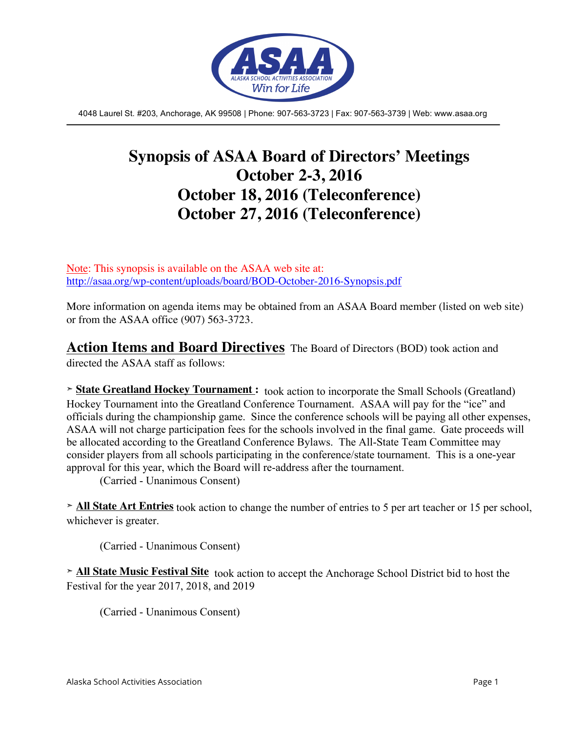

4048 Laurel St. #203, Anchorage, AK 99508 | Phone: 907-563-3723 | Fax: 907-563-3739 | Web: www.asaa.org

# **Synopsis of ASAA Board of Directors' Meetings October 2-3, 2016 October 18, 2016 (Teleconference) October 27, 2016 (Teleconference)**

Note: This synopsis is available on the ASAA web site at: http://asaa.org/wp-content/uploads/board/BOD-October-2016-Synopsis.pdf

More information on agenda items may be obtained from an ASAA Board member (listed on web site) or from the ASAA office (907) 563-3723.

**Action Items and Board Directives** The Board of Directors (BOD) took action and

directed the ASAA staff as follows:

**➣ State Greatland Hockey Tournament :** took action to incorporate the Small Schools (Greatland) Hockey Tournament into the Greatland Conference Tournament. ASAA will pay for the "ice" and officials during the championship game. Since the conference schools will be paying all other expenses, ASAA will not charge participation fees for the schools involved in the final game. Gate proceeds will be allocated according to the Greatland Conference Bylaws. The All-State Team Committee may consider players from all schools participating in the conference/state tournament. This is a one-year approval for this year, which the Board will re-address after the tournament.

(Carried - Unanimous Consent)

**➣ All State Art Entries** took action to change the number of entries to 5 per art teacher or 15 per school, whichever is greater.

(Carried - Unanimous Consent)

**➣ All State Music Festival Site** took action to accept the Anchorage School District bid to host the Festival for the year 2017, 2018, and 2019

(Carried - Unanimous Consent)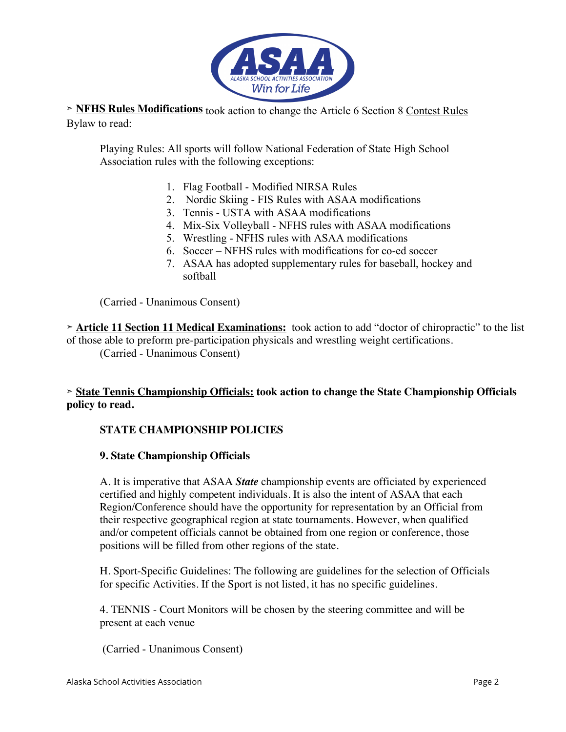

**➣ NFHS Rules Modifications** took action to change the Article 6 Section 8 Contest Rules Bylaw to read:

Playing Rules: All sports will follow National Federation of State High School Association rules with the following exceptions:

- 1. Flag Football Modified NIRSA Rules
- 2. Nordic Skiing FIS Rules with ASAA modifications
- 3. Tennis USTA with ASAA modifications
- 4. Mix-Six Volleyball NFHS rules with ASAA modifications
- 5. Wrestling NFHS rules with ASAA modifications
- 6. Soccer NFHS rules with modifications for co-ed soccer
- 7. ASAA has adopted supplementary rules for baseball, hockey and softball

(Carried - Unanimous Consent)

**➣ Article 11 Section 11 Medical Examinations:** took action to add "doctor of chiropractic" to the list of those able to preform pre-participation physicals and wrestling weight certifications. (Carried - Unanimous Consent)

### **➣ State Tennis Championship Officials: took action to change the State Championship Officials policy to read.**

#### **STATE CHAMPIONSHIP POLICIES**

#### **9. State Championship Officials**

A. It is imperative that ASAA *State* championship events are officiated by experienced certified and highly competent individuals. It is also the intent of ASAA that each Region/Conference should have the opportunity for representation by an Official from their respective geographical region at state tournaments. However, when qualified and/or competent officials cannot be obtained from one region or conference, those positions will be filled from other regions of the state.

H. Sport-Specific Guidelines: The following are guidelines for the selection of Officials for specific Activities. If the Sport is not listed, it has no specific guidelines.

4. TENNIS - Court Monitors will be chosen by the steering committee and will be present at each venue

(Carried - Unanimous Consent)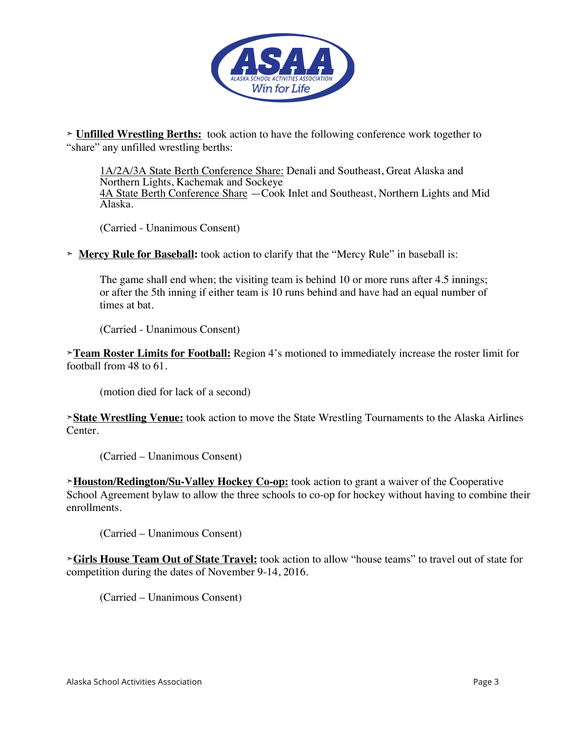

**➣ Unfilled Wrestling Berths:** took action to have the following conference work together to "share" any unfilled wrestling berths:

1A/2A/3A State Berth Conference Share: Denali and Southeast, Great Alaska and Northern Lights, Kachemak and Sockeye 4A State Berth Conference Share —Cook Inlet and Southeast, Northern Lights and Mid Alaska.

(Carried - Unanimous Consent)

**➣ Mercy Rule for Baseball:** took action to clarify that the "Mercy Rule" in baseball is:

The game shall end when; the visiting team is behind 10 or more runs after 4.5 innings; or after the 5th inning if either team is 10 runs behind and have had an equal number of times at bat.

(Carried - Unanimous Consent)

**➣Team Roster Limits for Football:** Region 4's motioned to immediately increase the roster limit for football from 48 to 61.

(motion died for lack of a second)

**➣State Wrestling Venue:** took action to move the State Wrestling Tournaments to the Alaska Airlines Center.

(Carried – Unanimous Consent)

**➣Houston/Redington/Su-Valley Hockey Co-op:** took action to grant a waiver of the Cooperative School Agreement bylaw to allow the three schools to co-op for hockey without having to combine their enrollments.

(Carried – Unanimous Consent)

**➣Girls House Team Out of State Travel:** took action to allow "house teams" to travel out of state for competition during the dates of November 9-14, 2016.

(Carried – Unanimous Consent)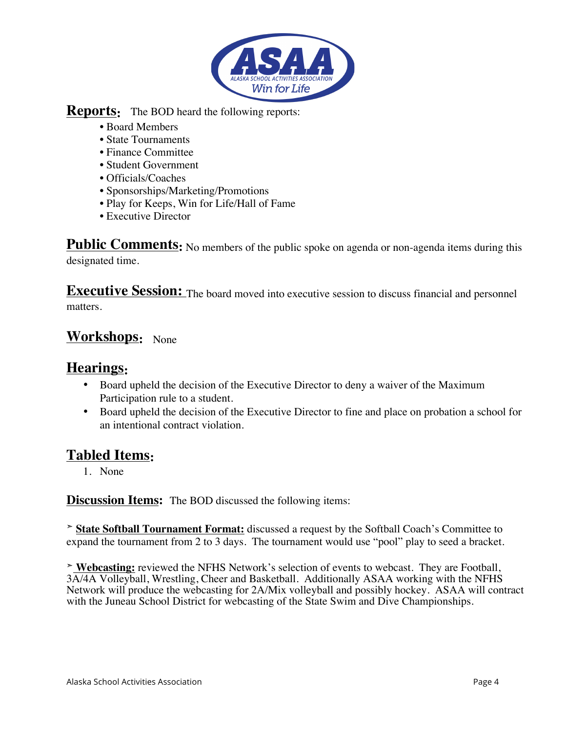

## **Reports:** The BOD heard the following reports:

- Board Members
- State Tournaments
- Finance Committee
- Student Government
- Officials/Coaches
- Sponsorships/Marketing/Promotions
- Play for Keeps, Win for Life/Hall of Fame
- Executive Director

Public Comments: No members of the public spoke on agenda or non-agenda items during this designated time.

**Executive Session:** The board moved into executive session to discuss financial and personnel matters.

# **Workshops:** None

# **Hearings:**

- Board upheld the decision of the Executive Director to deny a waiver of the Maximum Participation rule to a student.
- Board upheld the decision of the Executive Director to fine and place on probation a school for an intentional contract violation.

# **Tabled Items:**

1. None

**Discussion Items:** The BOD discussed the following items:

**➣ State Softball Tournament Format:** discussed a request by the Softball Coach's Committee to expand the tournament from 2 to 3 days. The tournament would use "pool" play to seed a bracket.

**➣ Webcasting:** reviewed the NFHS Network's selection of events to webcast. They are Football, 3A/4A Volleyball, Wrestling, Cheer and Basketball. Additionally ASAA working with the NFHS Network will produce the webcasting for 2A/Mix volleyball and possibly hockey. ASAA will contract with the Juneau School District for webcasting of the State Swim and Dive Championships.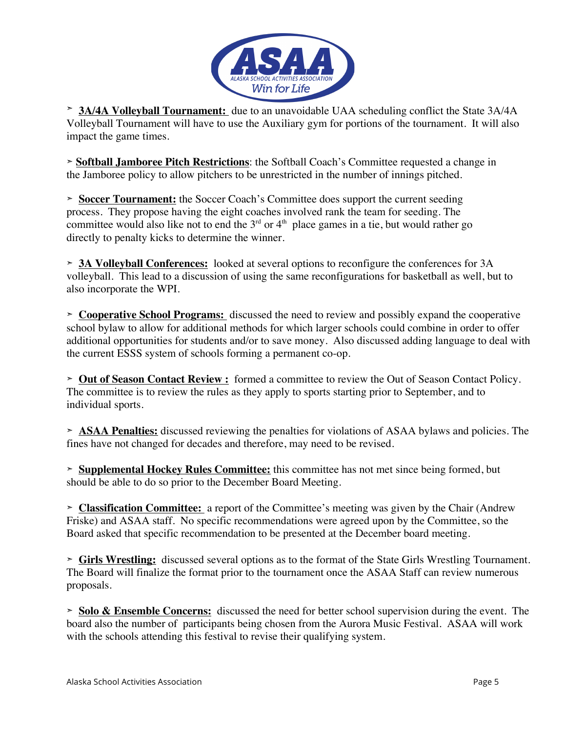

**➣ 3A/4A Volleyball Tournament:** due to an unavoidable UAA scheduling conflict the State 3A/4A Volleyball Tournament will have to use the Auxiliary gym for portions of the tournament. It will also impact the game times.

**➣ Softball Jamboree Pitch Restrictions**: the Softball Coach's Committee requested a change in the Jamboree policy to allow pitchers to be unrestricted in the number of innings pitched.

**➣ Soccer Tournament:** the Soccer Coach's Committee does support the current seeding process. They propose having the eight coaches involved rank the team for seeding. The committee would also like not to end the  $3<sup>rd</sup>$  or  $4<sup>th</sup>$  place games in a tie, but would rather go directly to penalty kicks to determine the winner.

**➣ 3A Volleyball Conferences:** looked at several options to reconfigure the conferences for 3A volleyball. This lead to a discussion of using the same reconfigurations for basketball as well, but to also incorporate the WPI.

**➣ Cooperative School Programs:** discussed the need to review and possibly expand the cooperative school bylaw to allow for additional methods for which larger schools could combine in order to offer additional opportunities for students and/or to save money. Also discussed adding language to deal with the current ESSS system of schools forming a permanent co-op.

**➣ Out of Season Contact Review :** formed a committee to review the Out of Season Contact Policy. The committee is to review the rules as they apply to sports starting prior to September, and to individual sports.

**➣ ASAA Penalties:** discussed reviewing the penalties for violations of ASAA bylaws and policies. The fines have not changed for decades and therefore, may need to be revised.

**➣ Supplemental Hockey Rules Committee:** this committee has not met since being formed, but should be able to do so prior to the December Board Meeting.

**➣ Classification Committee:** a report of the Committee's meeting was given by the Chair (Andrew Friske) and ASAA staff. No specific recommendations were agreed upon by the Committee, so the Board asked that specific recommendation to be presented at the December board meeting.

**➣ Girls Wrestling:** discussed several options as to the format of the State Girls Wrestling Tournament. The Board will finalize the format prior to the tournament once the ASAA Staff can review numerous proposals.

**➣ Solo & Ensemble Concerns:** discussed the need for better school supervision during the event. The board also the number of participants being chosen from the Aurora Music Festival. ASAA will work with the schools attending this festival to revise their qualifying system.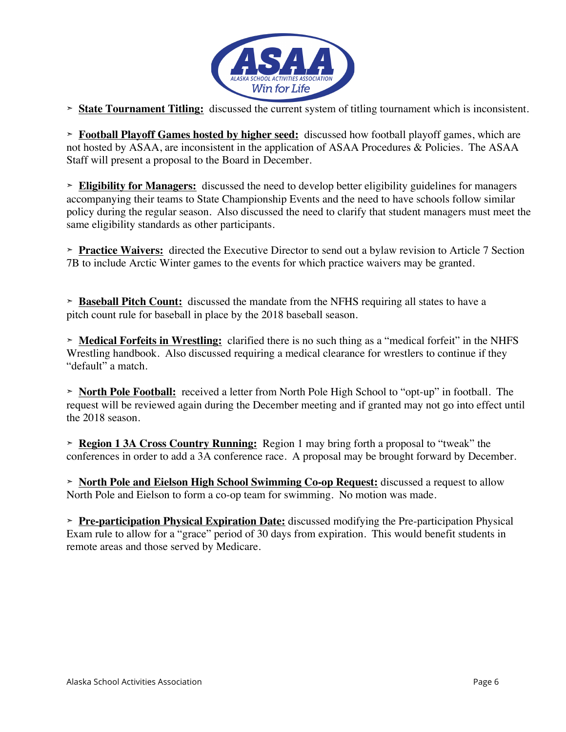

**➣ State Tournament Titling:** discussed the current system of titling tournament which is inconsistent.

**➣ Football Playoff Games hosted by higher seed:** discussed how football playoff games, which are not hosted by ASAA, are inconsistent in the application of ASAA Procedures & Policies. The ASAA Staff will present a proposal to the Board in December.

**➣ Eligibility for Managers:** discussed the need to develop better eligibility guidelines for managers accompanying their teams to State Championship Events and the need to have schools follow similar policy during the regular season. Also discussed the need to clarify that student managers must meet the same eligibility standards as other participants.

**➣ Practice Waivers:** directed the Executive Director to send out a bylaw revision to Article 7 Section 7B to include Arctic Winter games to the events for which practice waivers may be granted.

**➣ Baseball Pitch Count:** discussed the mandate from the NFHS requiring all states to have a pitch count rule for baseball in place by the 2018 baseball season.

**➣ Medical Forfeits in Wrestling:** clarified there is no such thing as a "medical forfeit" in the NHFS Wrestling handbook. Also discussed requiring a medical clearance for wrestlers to continue if they "default" a match.

**➣ North Pole Football:** received a letter from North Pole High School to "opt-up" in football. The request will be reviewed again during the December meeting and if granted may not go into effect until the 2018 season.

**➣ Region 1 3A Cross Country Running:** Region 1 may bring forth a proposal to "tweak" the conferences in order to add a 3A conference race. A proposal may be brought forward by December.

**➣ North Pole and Eielson High School Swimming Co-op Request:** discussed a request to allow North Pole and Eielson to form a co-op team for swimming. No motion was made.

**➣ Pre-participation Physical Expiration Date:** discussed modifying the Pre-participation Physical Exam rule to allow for a "grace" period of 30 days from expiration. This would benefit students in remote areas and those served by Medicare.